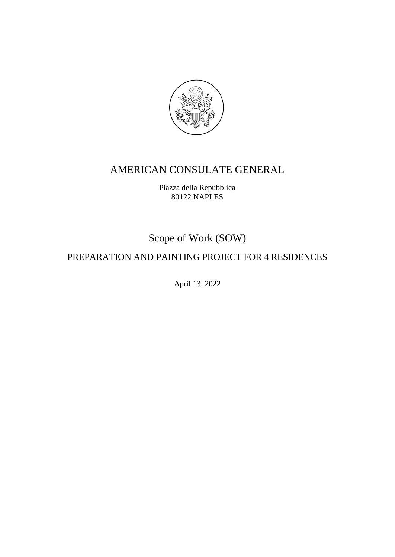

# AMERICAN CONSULATE GENERAL

Piazza della Repubblica 80122 NAPLES

Scope of Work (SOW)

# PREPARATION AND PAINTING PROJECT FOR 4 RESIDENCES

April 13, 2022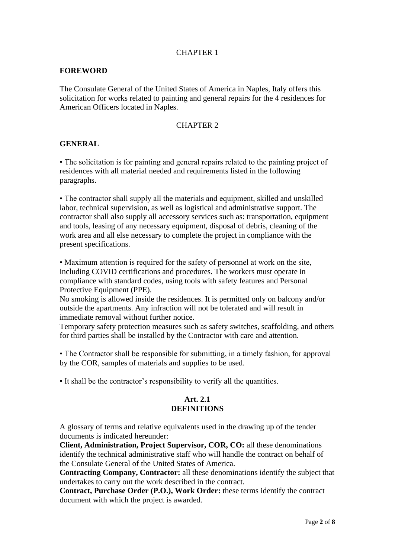#### CHAPTER 1

#### **FOREWORD**

The Consulate General of the United States of America in Naples, Italy offers this solicitation for works related to painting and general repairs for the 4 residences for American Officers located in Naples.

#### CHAPTER 2

#### **GENERAL**

• The solicitation is for painting and general repairs related to the painting project of residences with all material needed and requirements listed in the following paragraphs.

• The contractor shall supply all the materials and equipment, skilled and unskilled labor, technical supervision, as well as logistical and administrative support. The contractor shall also supply all accessory services such as: transportation, equipment and tools, leasing of any necessary equipment, disposal of debris, cleaning of the work area and all else necessary to complete the project in compliance with the present specifications.

• Maximum attention is required for the safety of personnel at work on the site, including COVID certifications and procedures. The workers must operate in compliance with standard codes, using tools with safety features and Personal Protective Equipment (PPE).

No smoking is allowed inside the residences. It is permitted only on balcony and/or outside the apartments. Any infraction will not be tolerated and will result in immediate removal without further notice.

Temporary safety protection measures such as safety switches, scaffolding, and others for third parties shall be installed by the Contractor with care and attention.

• The Contractor shall be responsible for submitting, in a timely fashion, for approval by the COR, samples of materials and supplies to be used.

• It shall be the contractor's responsibility to verify all the quantities.

#### **Art. 2.1 DEFINITIONS**

A glossary of terms and relative equivalents used in the drawing up of the tender documents is indicated hereunder:

**Client, Administration, Project Supervisor, COR, CO:** all these denominations identify the technical administrative staff who will handle the contract on behalf of the Consulate General of the United States of America.

**Contracting Company, Contractor:** all these denominations identify the subject that undertakes to carry out the work described in the contract.

**Contract, Purchase Order (P.O.), Work Order:** these terms identify the contract document with which the project is awarded.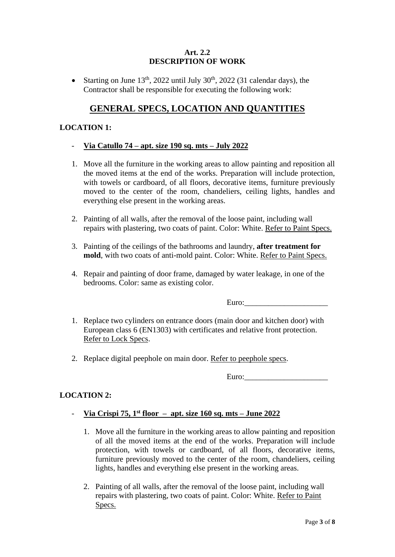#### **Art. 2.2 DESCRIPTION OF WORK**

• Starting on June  $13<sup>th</sup>$ , 2022 until July 30<sup>th</sup>, 2022 (31 calendar days), the Contractor shall be responsible for executing the following work:

# **GENERAL SPECS, LOCATION AND QUANTITIES**

### **LOCATION 1:**

#### - **Via Catullo 74 – apt. size 190 sq. mts – July 2022**

- 1. Move all the furniture in the working areas to allow painting and reposition all the moved items at the end of the works. Preparation will include protection, with towels or cardboard, of all floors, decorative items, furniture previously moved to the center of the room, chandeliers, ceiling lights, handles and everything else present in the working areas.
- 2. Painting of all walls, after the removal of the loose paint, including wall repairs with plastering, two coats of paint. Color: White. Refer to Paint Specs.
- 3. Painting of the ceilings of the bathrooms and laundry, **after treatment for mold**, with two coats of anti-mold paint. Color: White. Refer to Paint Specs.
- 4. Repair and painting of door frame, damaged by water leakage, in one of the bedrooms. Color: same as existing color.

Euro:

- 1. Replace two cylinders on entrance doors (main door and kitchen door) with European class 6 (EN1303) with certificates and relative front protection. Refer to Lock Specs.
- 2. Replace digital peephole on main door. Refer to peephole specs.

Euro:

# **LOCATION 2:**

# - **Via Crispi 75, 1 st floor – apt. size 160 sq. mts – June 2022**

- 1. Move all the furniture in the working areas to allow painting and reposition of all the moved items at the end of the works. Preparation will include protection, with towels or cardboard, of all floors, decorative items, furniture previously moved to the center of the room, chandeliers, ceiling lights, handles and everything else present in the working areas.
- 2. Painting of all walls, after the removal of the loose paint, including wall repairs with plastering, two coats of paint. Color: White. Refer to Paint Specs.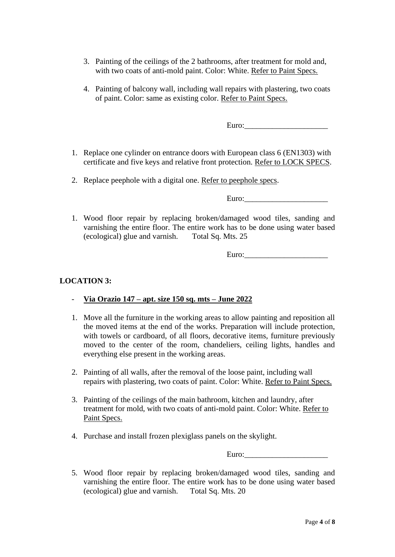- 3. Painting of the ceilings of the 2 bathrooms, after treatment for mold and, with two coats of anti-mold paint. Color: White. Refer to Paint Specs.
- 4. Painting of balcony wall, including wall repairs with plastering, two coats of paint. Color: same as existing color. Refer to Paint Specs.

Euro:

- 1. Replace one cylinder on entrance doors with European class 6 (EN1303) with certificate and five keys and relative front protection. Refer to LOCK SPECS.
- 2. Replace peephole with a digital one. Refer to peephole specs.

Euro:

1. Wood floor repair by replacing broken/damaged wood tiles, sanding and varnishing the entire floor. The entire work has to be done using water based (ecological) glue and varnish. Total Sq. Mts. 25

Euro:\_\_\_\_\_\_\_\_\_\_\_\_\_\_\_\_\_\_\_\_\_

# **LOCATION 3:**

- **Via Orazio 147 – apt. size 150 sq. mts – June 2022**
- 1. Move all the furniture in the working areas to allow painting and reposition all the moved items at the end of the works. Preparation will include protection, with towels or cardboard, of all floors, decorative items, furniture previously moved to the center of the room, chandeliers, ceiling lights, handles and everything else present in the working areas.
- 2. Painting of all walls, after the removal of the loose paint, including wall repairs with plastering, two coats of paint. Color: White. Refer to Paint Specs.
- 3. Painting of the ceilings of the main bathroom, kitchen and laundry, after treatment for mold, with two coats of anti-mold paint. Color: White. Refer to Paint Specs.
- 4. Purchase and install frozen plexiglass panels on the skylight.

Euro:\_\_\_\_\_\_\_\_\_\_\_\_\_\_\_\_\_\_\_\_\_

5. Wood floor repair by replacing broken/damaged wood tiles, sanding and varnishing the entire floor. The entire work has to be done using water based (ecological) glue and varnish. Total Sq. Mts. 20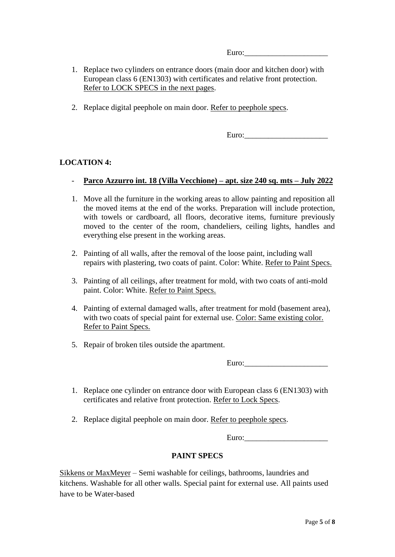- 1. Replace two cylinders on entrance doors (main door and kitchen door) with European class 6 (EN1303) with certificates and relative front protection. Refer to LOCK SPECS in the next pages.
- 2. Replace digital peephole on main door. Refer to peephole specs.

Euro:\_\_\_\_\_\_\_\_\_\_\_\_\_\_\_\_\_\_\_\_\_

# **LOCATION 4:**

- **Parco Azzurro int. 18 (Villa Vecchione) – apt. size 240 sq. mts – July 2022**
- 1. Move all the furniture in the working areas to allow painting and reposition all the moved items at the end of the works. Preparation will include protection, with towels or cardboard, all floors, decorative items, furniture previously moved to the center of the room, chandeliers, ceiling lights, handles and everything else present in the working areas.
- 2. Painting of all walls, after the removal of the loose paint, including wall repairs with plastering, two coats of paint. Color: White. Refer to Paint Specs.
- 3. Painting of all ceilings, after treatment for mold, with two coats of anti-mold paint. Color: White. Refer to Paint Specs.
- 4. Painting of external damaged walls, after treatment for mold (basement area), with two coats of special paint for external use. Color: Same existing color. Refer to Paint Specs.
- 5. Repair of broken tiles outside the apartment.

Euro:

- 1. Replace one cylinder on entrance door with European class 6 (EN1303) with certificates and relative front protection. Refer to Lock Specs.
- 2. Replace digital peephole on main door. Refer to peephole specs.

Euro:

# **PAINT SPECS**

Sikkens or MaxMeyer – Semi washable for ceilings, bathrooms, laundries and kitchens. Washable for all other walls. Special paint for external use. All paints used have to be Water-based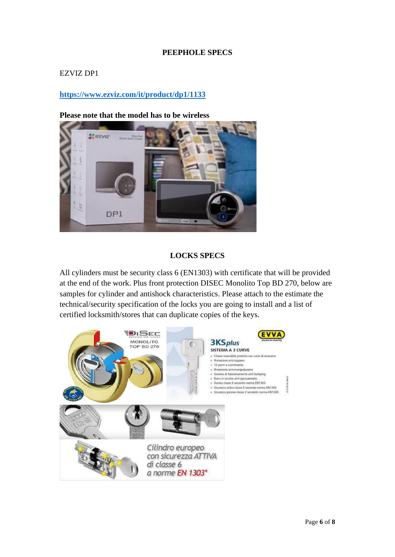### **PEEPHOLE SPECS**

#### EZVIZ DP1

# **<https://www.ezviz.com/it/product/dp1/1133>**

#### **Please note that the model has to be wireless**



#### **LOCKS SPECS**

All cylinders must be security class 6 (EN1303) with certificate that will be provided at the end of the work. Plus front protection DISEC Monolito Top BD 270, below are samples for cylinder and antishock characteristics. Please attach to the estimate the technical/security specification of the locks you are going to install and a list of certified locksmith/stores that can duplicate copies of the keys.

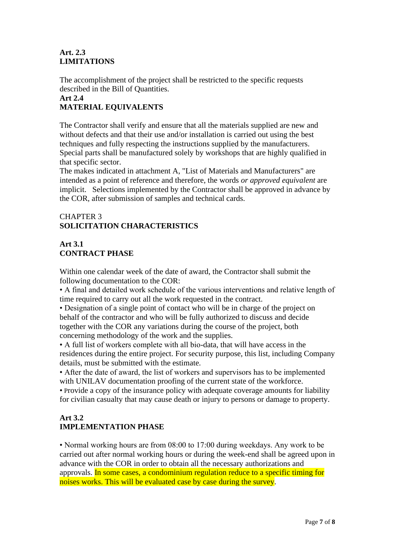### **Art. 2.3 LIMITATIONS**

The accomplishment of the project shall be restricted to the specific requests described in the Bill of Quantities.

# **Art 2.4**

# **MATERIAL EQUIVALENTS**

The Contractor shall verify and ensure that all the materials supplied are new and without defects and that their use and/or installation is carried out using the best techniques and fully respecting the instructions supplied by the manufacturers. Special parts shall be manufactured solely by workshops that are highly qualified in that specific sector.

The makes indicated in attachment A, "List of Materials and Manufacturers" are intended as a point of reference and therefore, the words *or approved equivalent* are implicit. Selections implemented by the Contractor shall be approved in advance by the COR, after submission of samples and technical cards.

# CHAPTER 3 **SOLICITATION CHARACTERISTICS**

# **Art 3.1 CONTRACT PHASE**

Within one calendar week of the date of award, the Contractor shall submit the following documentation to the COR:

• A final and detailed work schedule of the various interventions and relative length of time required to carry out all the work requested in the contract.

• Designation of a single point of contact who will be in charge of the project on behalf of the contractor and who will be fully authorized to discuss and decide together with the COR any variations during the course of the project, both concerning methodology of the work and the supplies.

• A full list of workers complete with all bio-data, that will have access in the residences during the entire project. For security purpose, this list, including Company details, must be submitted with the estimate.

• After the date of award, the list of workers and supervisors has to be implemented with UNILAV documentation proofing of the current state of the workforce.

• Provide a copy of the insurance policy with adequate coverage amounts for liability for civilian casualty that may cause death or injury to persons or damage to property.

# **Art 3.2 IMPLEMENTATION PHASE**

• Normal working hours are from 08:00 to 17:00 during weekdays. Any work to be carried out after normal working hours or during the week-end shall be agreed upon in advance with the COR in order to obtain all the necessary authorizations and approvals. In some cases, a condominium regulation reduce to a specific timing for noises works. This will be evaluated case by case during the survey.